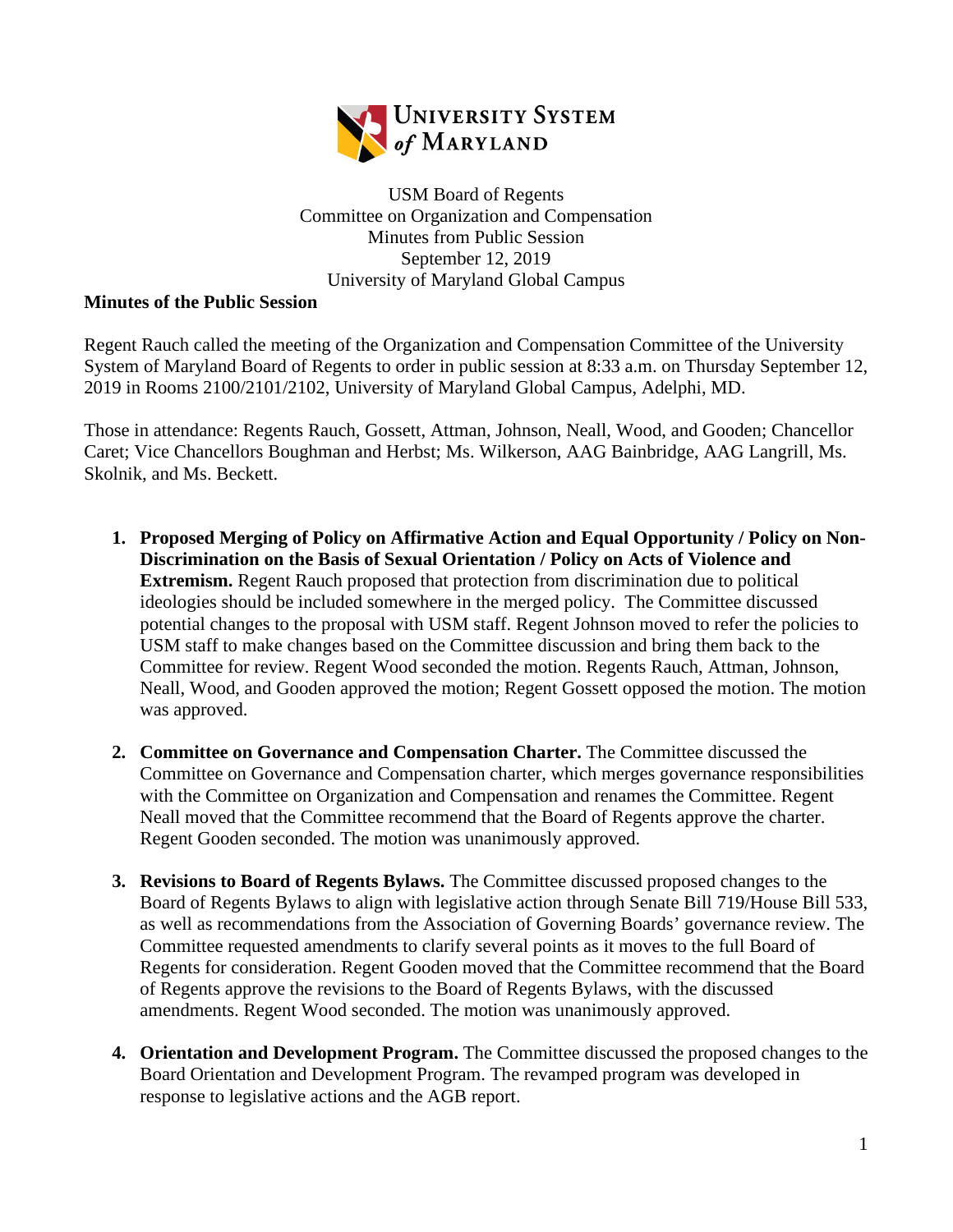

USM Board of Regents Committee on Organization and Compensation Minutes from Public Session September 12, 2019 University of Maryland Global Campus

## **Minutes of the Public Session**

Regent Rauch called the meeting of the Organization and Compensation Committee of the University System of Maryland Board of Regents to order in public session at 8:33 a.m. on Thursday September 12, 2019 in Rooms 2100/2101/2102, University of Maryland Global Campus, Adelphi, MD.

Those in attendance: Regents Rauch, Gossett, Attman, Johnson, Neall, Wood, and Gooden; Chancellor Caret; Vice Chancellors Boughman and Herbst; Ms. Wilkerson, AAG Bainbridge, AAG Langrill, Ms. Skolnik, and Ms. Beckett.

- **1. Proposed Merging of Policy on Affirmative Action and Equal Opportunity / Policy on Non-Discrimination on the Basis of Sexual Orientation / Policy on Acts of Violence and Extremism.** Regent Rauch proposed that protection from discrimination due to political ideologies should be included somewhere in the merged policy. The Committee discussed potential changes to the proposal with USM staff. Regent Johnson moved to refer the policies to USM staff to make changes based on the Committee discussion and bring them back to the Committee for review. Regent Wood seconded the motion. Regents Rauch, Attman, Johnson, Neall, Wood, and Gooden approved the motion; Regent Gossett opposed the motion. The motion was approved.
- **2. Committee on Governance and Compensation Charter.** The Committee discussed the Committee on Governance and Compensation charter, which merges governance responsibilities with the Committee on Organization and Compensation and renames the Committee. Regent Neall moved that the Committee recommend that the Board of Regents approve the charter. Regent Gooden seconded. The motion was unanimously approved.
- **3. Revisions to Board of Regents Bylaws.** The Committee discussed proposed changes to the Board of Regents Bylaws to align with legislative action through Senate Bill 719/House Bill 533, as well as recommendations from the Association of Governing Boards' governance review. The Committee requested amendments to clarify several points as it moves to the full Board of Regents for consideration. Regent Gooden moved that the Committee recommend that the Board of Regents approve the revisions to the Board of Regents Bylaws, with the discussed amendments. Regent Wood seconded. The motion was unanimously approved.
- **4. Orientation and Development Program.** The Committee discussed the proposed changes to the Board Orientation and Development Program. The revamped program was developed in response to legislative actions and the AGB report.